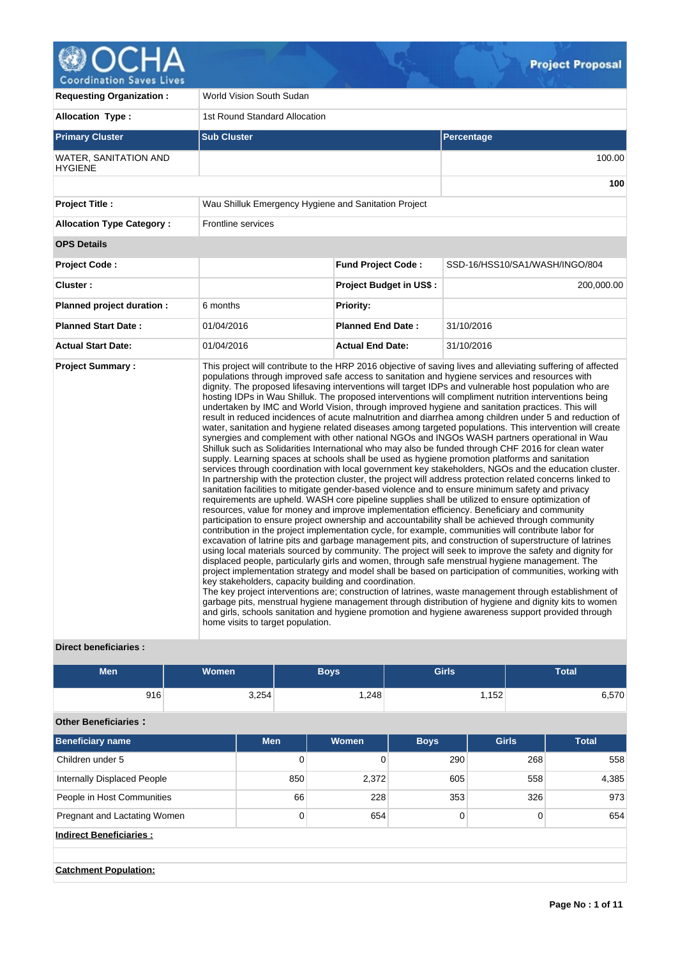

**Requesting Organization : World Vision South Sudan Allocation Type :** 1st Round Standard Allocation **Primary Cluster Sub Cluster Sub Cluster** Sub Cluster Sub Cluster Sub Cluster Sub Cluster Sub Cluster Sub Cluster WATER, SANITATION AND **HYGIENE** 100.00 **100 Project Title :** Wau Shilluk Emergency Hygiene and Sanitation Project **Allocation Type Category :** Frontline services **OPS Details Project Code : Fund Project Code :** SSD-16/HSS10/SA1/WASH/INGO/804 **Cluster : Project Budget in US\$ :** 200,000.00 **Planned project duration :** 6 months **Priority: Planned Start Date :** 01/04/2016 **Planned End Date :** 31/10/2016 **Actual Start Date:** 01/04/2016 **Actual End Date:** 31/10/2016 **Project Summary :** This project will contribute to the HRP 2016 objective of saving lives and alleviating suffering of affected populations through improved safe access to sanitation and hygiene services and resources with dignity. The proposed lifesaving interventions will target IDPs and vulnerable host population who are hosting IDPs in Wau Shilluk. The proposed interventions will compliment nutrition interventions being undertaken by IMC and World Vision, through improved hygiene and sanitation practices. This will result in reduced incidences of acute malnutrition and diarrhea among children under 5 and reduction of water, sanitation and hygiene related diseases among targeted populations. This intervention will create synergies and complement with other national NGOs and INGOs WASH partners operational in Wau Shilluk such as Solidarities International who may also be funded through CHF 2016 for clean water supply. Learning spaces at schools shall be used as hygiene promotion platforms and sanitation services through coordination with local government key stakeholders, NGOs and the education cluster. In partnership with the protection cluster, the project will address protection related concerns linked to sanitation facilities to mitigate gender-based violence and to ensure minimum safety and privacy requirements are upheld. WASH core pipeline supplies shall be utilized to ensure optimization of resources, value for money and improve implementation efficiency. Beneficiary and community participation to ensure project ownership and accountability shall be achieved through community contribution in the project implementation cycle, for example, communities will contribute labor for excavation of latrine pits and garbage management pits, and construction of superstructure of latrines using local materials sourced by community. The project will seek to improve the safety and dignity for displaced people, particularly girls and women, through safe menstrual hygiene management. The project implementation strategy and model shall be based on participation of communities, working with key stakeholders, capacity building and coordination. The key project interventions are; construction of latrines, waste management through establishment of garbage pits, menstrual hygiene management through distribution of hygiene and dignity kits to women and girls, schools sanitation and hygiene promotion and hygiene awareness support provided through home visits to target population.

## **Direct beneficiaries :**

| Men | <b>Women</b> | <b>Boys</b> | <b>Girls</b> | <b>Total</b> |
|-----|--------------|-------------|--------------|--------------|
| 916 | 3,254        | 1,248       | ,152         | 6,570        |

## **Other Beneficiaries :**

| <b>Beneficiary name</b>        | <b>Men</b> | Women | <b>Boys</b> | <b>Girls</b> | <b>Total</b> |
|--------------------------------|------------|-------|-------------|--------------|--------------|
| Children under 5               | 0          |       | 290         | 268          | 558          |
| Internally Displaced People    | 850        | 2,372 | 605         | 558          | 4,385        |
| People in Host Communities     | 66         | 228   | 353         | 326          | 973          |
| Pregnant and Lactating Women   | 0          | 654   | $\Omega$    | 0            | 654          |
| <b>Indirect Beneficiaries:</b> |            |       |             |              |              |
|                                |            |       |             |              |              |
| <b>Catchment Population:</b>   |            |       |             |              |              |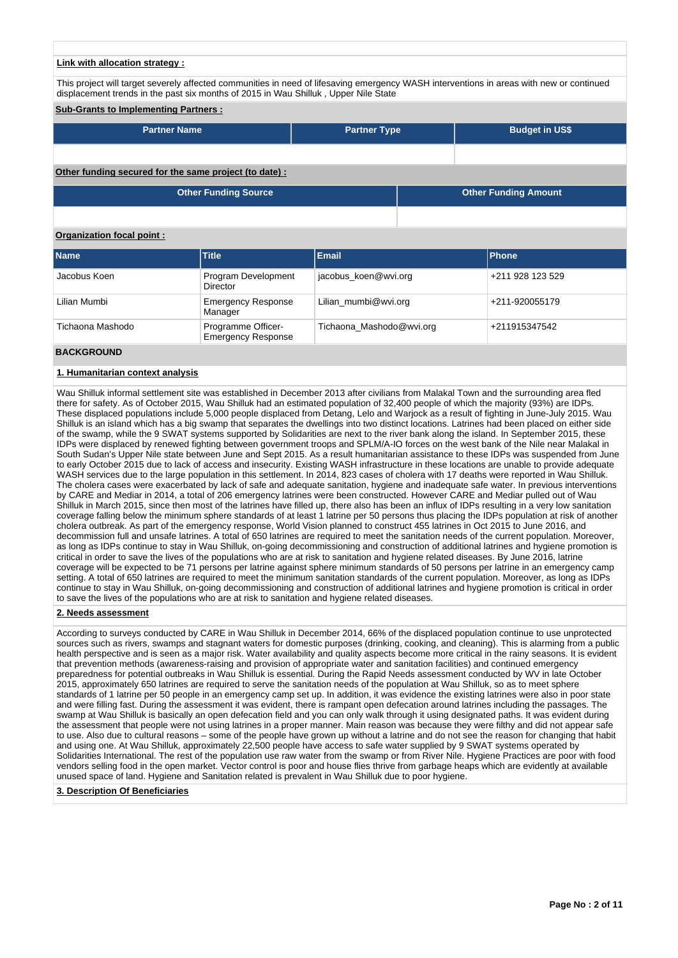#### **Link with allocation strategy :**

This project will target severely affected communities in need of lifesaving emergency WASH interventions in areas with new or continued displacement trends in the past six months of 2015 in Wau Shilluk , Upper Nile State

## **Sub-Grants to Implementing Partners :**

| <b>Partner Name</b>                                   | <b>Partner Type</b> | <b>Budget in US\$</b> |
|-------------------------------------------------------|---------------------|-----------------------|
|                                                       |                     |                       |
| Other funding secured for the same project (to date): |                     |                       |

| <b>Other Funding Source</b> | <b>Other Funding Amount</b> |
|-----------------------------|-----------------------------|
|                             |                             |

#### **Organization focal point :**

| <b>Name</b>       | <b>Title</b>                                    | <b>Email</b>             | Phone            |
|-------------------|-------------------------------------------------|--------------------------|------------------|
|                   |                                                 |                          |                  |
| Jacobus Koen      | Program Development<br>Director                 | jacobus koen@wvi.org     | +211 928 123 529 |
| Lilian Mumbi      | <b>Emergency Response</b><br>Manager            | Lilian mumbi@wvi.org     | +211-920055179   |
| Tichaona Mashodo  | Programme Officer-<br><b>Emergency Response</b> | Tichaona_Mashodo@wvi.org | +211915347542    |
| <b>BACKGROUND</b> |                                                 |                          |                  |

## **1. Humanitarian context analysis**

Wau Shilluk informal settlement site was established in December 2013 after civilians from Malakal Town and the surrounding area fled there for safety. As of October 2015, Wau Shilluk had an estimated population of 32,400 people of which the majority (93%) are IDPs. These displaced populations include 5,000 people displaced from Detang, Lelo and Warjock as a result of fighting in June-July 2015. Wau Shilluk is an island which has a big swamp that separates the dwellings into two distinct locations. Latrines had been placed on either side of the swamp, while the 9 SWAT systems supported by Solidarities are next to the river bank along the island. In September 2015, these IDPs were displaced by renewed fighting between government troops and SPLM/A-IO forces on the west bank of the Nile near Malakal in South Sudan's Upper Nile state between June and Sept 2015. As a result humanitarian assistance to these IDPs was suspended from June to early October 2015 due to lack of access and insecurity. Existing WASH infrastructure in these locations are unable to provide adequate WASH services due to the large population in this settlement. In 2014, 823 cases of cholera with 17 deaths were reported in Wau Shilluk. The cholera cases were exacerbated by lack of safe and adequate sanitation, hygiene and inadequate safe water. In previous interventions by CARE and Mediar in 2014, a total of 206 emergency latrines were been constructed. However CARE and Mediar pulled out of Wau Shilluk in March 2015, since then most of the latrines have filled up, there also has been an influx of IDPs resulting in a very low sanitation coverage falling below the minimum sphere standards of at least 1 latrine per 50 persons thus placing the IDPs population at risk of another cholera outbreak. As part of the emergency response, World Vision planned to construct 455 latrines in Oct 2015 to June 2016, and decommission full and unsafe latrines. A total of 650 latrines are required to meet the sanitation needs of the current population. Moreover, as long as IDPs continue to stay in Wau Shilluk, on-going decommissioning and construction of additional latrines and hygiene promotion is critical in order to save the lives of the populations who are at risk to sanitation and hygiene related diseases. By June 2016, latrine coverage will be expected to be 71 persons per latrine against sphere minimum standards of 50 persons per latrine in an emergency camp setting. A total of 650 latrines are required to meet the minimum sanitation standards of the current population. Moreover, as long as IDPs continue to stay in Wau Shilluk, on-going decommissioning and construction of additional latrines and hygiene promotion is critical in order to save the lives of the populations who are at risk to sanitation and hygiene related diseases.

#### **2. Needs assessment**

According to surveys conducted by CARE in Wau Shilluk in December 2014, 66% of the displaced population continue to use unprotected sources such as rivers, swamps and stagnant waters for domestic purposes (drinking, cooking, and cleaning). This is alarming from a public health perspective and is seen as a major risk. Water availability and quality aspects become more critical in the rainy seasons. It is evident that prevention methods (awareness-raising and provision of appropriate water and sanitation facilities) and continued emergency preparedness for potential outbreaks in Wau Shilluk is essential. During the Rapid Needs assessment conducted by WV in late October 2015, approximately 650 latrines are required to serve the sanitation needs of the population at Wau Shilluk, so as to meet sphere standards of 1 latrine per 50 people in an emergency camp set up. In addition, it was evidence the existing latrines were also in poor state and were filling fast. During the assessment it was evident, there is rampant open defecation around latrines including the passages. The swamp at Wau Shilluk is basically an open defecation field and you can only walk through it using designated paths. It was evident during the assessment that people were not using latrines in a proper manner. Main reason was because they were filthy and did not appear safe to use. Also due to cultural reasons – some of the people have grown up without a latrine and do not see the reason for changing that habit and using one. At Wau Shilluk, approximately 22,500 people have access to safe water supplied by 9 SWAT systems operated by Solidarities International. The rest of the population use raw water from the swamp or from River Nile. Hygiene Practices are poor with food vendors selling food in the open market. Vector control is poor and house flies thrive from garbage heaps which are evidently at available unused space of land. Hygiene and Sanitation related is prevalent in Wau Shilluk due to poor hygiene.

#### **3. Description Of Beneficiaries**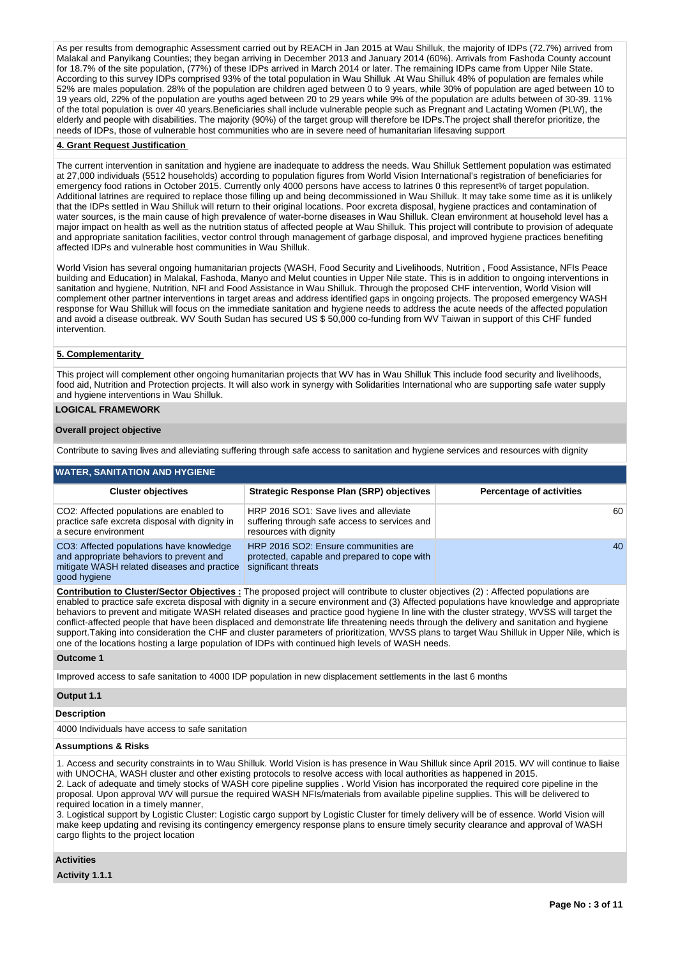As per results from demographic Assessment carried out by REACH in Jan 2015 at Wau Shilluk, the majority of IDPs (72.7%) arrived from Malakal and Panyikang Counties; they began arriving in December 2013 and January 2014 (60%). Arrivals from Fashoda County account for 18.7% of the site population, (77%) of these IDPs arrived in March 2014 or later. The remaining IDPs came from Upper Nile State. According to this survey IDPs comprised 93% of the total population in Wau Shilluk .At Wau Shilluk 48% of population are females while 52% are males population. 28% of the population are children aged between 0 to 9 years, while 30% of population are aged between 10 to 19 years old, 22% of the population are youths aged between 20 to 29 years while 9% of the population are adults between of 30-39. 11% of the total population is over 40 years.Beneficiaries shall include vulnerable people such as Pregnant and Lactating Women (PLW), the elderly and people with disabilities. The majority (90%) of the target group will therefore be IDPs.The project shall therefor prioritize, the needs of IDPs, those of vulnerable host communities who are in severe need of humanitarian lifesaving support

#### **4. Grant Request Justification**

The current intervention in sanitation and hygiene are inadequate to address the needs. Wau Shilluk Settlement population was estimated at 27,000 individuals (5512 households) according to population figures from World Vision International's registration of beneficiaries for emergency food rations in October 2015. Currently only 4000 persons have access to latrines 0 this represent% of target population. Additional latrines are required to replace those filling up and being decommissioned in Wau Shilluk. It may take some time as it is unlikely that the IDPs settled in Wau Shilluk will return to their original locations. Poor excreta disposal, hygiene practices and contamination of water sources, is the main cause of high prevalence of water-borne diseases in Wau Shilluk. Clean environment at household level has a major impact on health as well as the nutrition status of affected people at Wau Shilluk. This project will contribute to provision of adequate and appropriate sanitation facilities, vector control through management of garbage disposal, and improved hygiene practices benefiting affected IDPs and vulnerable host communities in Wau Shilluk.

World Vision has several ongoing humanitarian projects (WASH, Food Security and Livelihoods, Nutrition , Food Assistance, NFIs Peace building and Education) in Malakal, Fashoda, Manyo and Melut counties in Upper Nile state. This is in addition to ongoing interventions in sanitation and hygiene, Nutrition, NFI and Food Assistance in Wau Shilluk. Through the proposed CHF intervention, World Vision will complement other partner interventions in target areas and address identified gaps in ongoing projects. The proposed emergency WASH response for Wau Shilluk will focus on the immediate sanitation and hygiene needs to address the acute needs of the affected population and avoid a disease outbreak. WV South Sudan has secured US \$ 50,000 co-funding from WV Taiwan in support of this CHF funded intervention.

## **5. Complementarity**

This project will complement other ongoing humanitarian projects that WV has in Wau Shilluk This include food security and livelihoods, food aid, Nutrition and Protection projects. It will also work in synergy with Solidarities International who are supporting safe water supply and hygiene interventions in Wau Shilluk.

## **LOGICAL FRAMEWORK**

#### **Overall project objective**

Contribute to saving lives and alleviating suffering through safe access to sanitation and hygiene services and resources with dignity

### **WATER, SANITATION AND HYGIENE**

| <b>Cluster objectives</b>                                                                                                                           | <b>Strategic Response Plan (SRP) objectives</b>                                                                   | <b>Percentage of activities</b> |
|-----------------------------------------------------------------------------------------------------------------------------------------------------|-------------------------------------------------------------------------------------------------------------------|---------------------------------|
| CO2: Affected populations are enabled to<br>practice safe excreta disposal with dignity in<br>a secure environment                                  | HRP 2016 SO1: Save lives and alleviate<br>suffering through safe access to services and<br>resources with dignity | 60                              |
| CO3: Affected populations have knowledge<br>and appropriate behaviors to prevent and<br>mitigate WASH related diseases and practice<br>good hygiene | HRP 2016 SO2: Ensure communities are<br>protected, capable and prepared to cope with<br>significant threats       | 40                              |

**Contribution to Cluster/Sector Objectives :** The proposed project will contribute to cluster objectives (2) : Affected populations are enabled to practice safe excreta disposal with dignity in a secure environment and (3) Affected populations have knowledge and appropriate behaviors to prevent and mitigate WASH related diseases and practice good hygiene In line with the cluster strategy, WVSS will target the conflict-affected people that have been displaced and demonstrate life threatening needs through the delivery and sanitation and hygiene support.Taking into consideration the CHF and cluster parameters of prioritization, WVSS plans to target Wau Shilluk in Upper Nile, which is one of the locations hosting a large population of IDPs with continued high levels of WASH needs.

**Outcome 1**

Improved access to safe sanitation to 4000 IDP population in new displacement settlements in the last 6 months

#### **Output 1.1**

### **Description**

4000 Individuals have access to safe sanitation

### **Assumptions & Risks**

1. Access and security constraints in to Wau Shilluk. World Vision is has presence in Wau Shilluk since April 2015. WV will continue to liaise with UNOCHA, WASH cluster and other existing protocols to resolve access with local authorities as happened in 2015. 2. Lack of adequate and timely stocks of WASH core pipeline supplies . World Vision has incorporated the required core pipeline in the proposal. Upon approval WV will pursue the required WASH NFIs/materials from available pipeline supplies. This will be delivered to required location in a timely manner,

3. Logistical support by Logistic Cluster: Logistic cargo support by Logistic Cluster for timely delivery will be of essence. World Vision will make keep updating and revising its contingency emergency response plans to ensure timely security clearance and approval of WASH cargo flights to the project location

#### **Activities**

**Activity 1.1.1**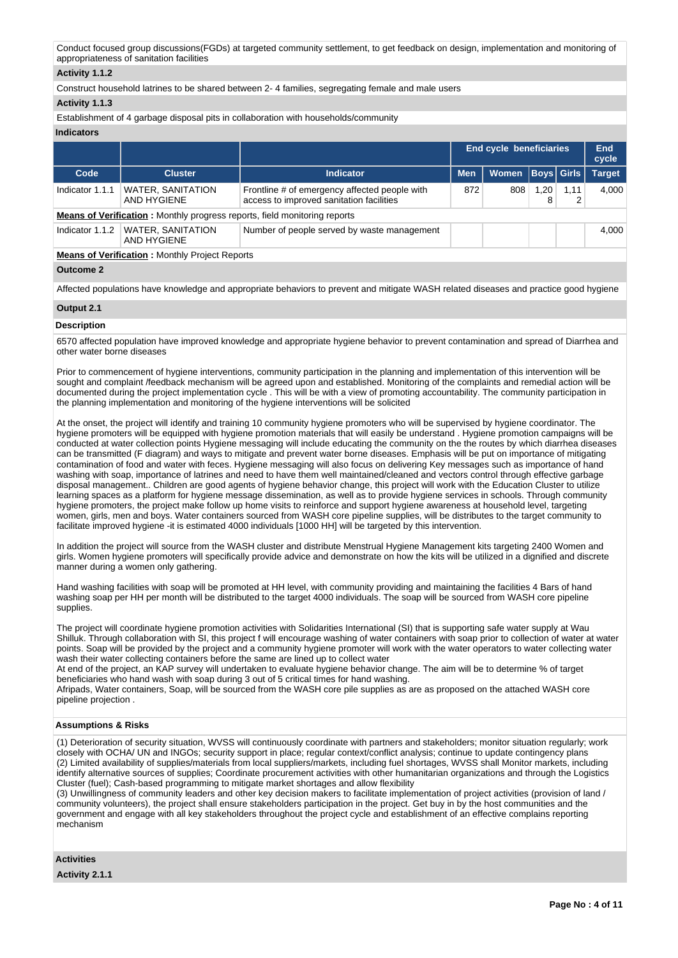Conduct focused group discussions(FGDs) at targeted community settlement, to get feedback on design, implementation and monitoring of appropriateness of sanitation facilities

## **Activity 1.1.2**

Construct household latrines to be shared between 2- 4 families, segregating female and male users

## **Activity 1.1.3**

Establishment of 4 garbage disposal pits in collaboration with households/community

## **Indicators**

|                 |                                                                                  |                                                                                           |            | <b>End cycle beneficiaries</b> |           |                   | End<br>cycle  |
|-----------------|----------------------------------------------------------------------------------|-------------------------------------------------------------------------------------------|------------|--------------------------------|-----------|-------------------|---------------|
| Code            | <b>Cluster</b>                                                                   | <b>Indicator</b>                                                                          | <b>Men</b> | <b>Women</b>                   |           | <b>Boys Girls</b> | <b>Target</b> |
| Indicator 1.1.1 | WATER, SANITATION<br>AND HYGIENE                                                 | Frontline # of emergency affected people with<br>access to improved sanitation facilities | 872        | 808                            | 1,20<br>8 | 1,11<br>2         | 4.000         |
|                 | <b>Means of Verification:</b> Monthly progress reports, field monitoring reports |                                                                                           |            |                                |           |                   |               |
| Indicator 1.1.2 | <b>WATER, SANITATION</b><br>AND HYGIENE                                          | Number of people served by waste management                                               |            |                                |           |                   | 4.000         |
|                 | <b>Means of Verification: Monthly Project Reports</b>                            |                                                                                           |            |                                |           |                   |               |
| Outcome 2       |                                                                                  |                                                                                           |            |                                |           |                   |               |

Affected populations have knowledge and appropriate behaviors to prevent and mitigate WASH related diseases and practice good hygiene

#### **Output 2.1**

#### **Description**

6570 affected population have improved knowledge and appropriate hygiene behavior to prevent contamination and spread of Diarrhea and other water borne diseases

Prior to commencement of hygiene interventions, community participation in the planning and implementation of this intervention will be sought and complaint /feedback mechanism will be agreed upon and established. Monitoring of the complaints and remedial action will be documented during the project implementation cycle . This will be with a view of promoting accountability. The community participation in the planning implementation and monitoring of the hygiene interventions will be solicited

At the onset, the project will identify and training 10 community hygiene promoters who will be supervised by hygiene coordinator. The hygiene promoters will be equipped with hygiene promotion materials that will easily be understand . Hygiene promotion campaigns will be conducted at water collection points Hygiene messaging will include educating the community on the the routes by which diarrhea diseases can be transmitted (F diagram) and ways to mitigate and prevent water borne diseases. Emphasis will be put on importance of mitigating contamination of food and water with feces. Hygiene messaging will also focus on delivering Key messages such as importance of hand washing with soap, importance of latrines and need to have them well maintained/cleaned and vectors control through effective garbage disposal management.. Children are good agents of hygiene behavior change, this project will work with the Education Cluster to utilize learning spaces as a platform for hygiene message dissemination, as well as to provide hygiene services in schools. Through community hygiene promoters, the project make follow up home visits to reinforce and support hygiene awareness at household level, targeting women, girls, men and boys. Water containers sourced from WASH core pipeline supplies, will be distributes to the target community to facilitate improved hygiene -it is estimated 4000 individuals [1000 HH] will be targeted by this intervention.

In addition the project will source from the WASH cluster and distribute Menstrual Hygiene Management kits targeting 2400 Women and girls. Women hygiene promoters will specifically provide advice and demonstrate on how the kits will be utilized in a dignified and discrete manner during a women only gathering.

Hand washing facilities with soap will be promoted at HH level, with community providing and maintaining the facilities 4 Bars of hand washing soap per HH per month will be distributed to the target 4000 individuals. The soap will be sourced from WASH core pipeline supplies.

The project will coordinate hygiene promotion activities with Solidarities International (SI) that is supporting safe water supply at Wau Shilluk. Through collaboration with SI, this project f will encourage washing of water containers with soap prior to collection of water at water points. Soap will be provided by the project and a community hygiene promoter will work with the water operators to water collecting water wash their water collecting containers before the same are lined up to collect water

At end of the project, an KAP survey will undertaken to evaluate hygiene behavior change. The aim will be to determine % of target beneficiaries who hand wash with soap during 3 out of 5 critical times for hand washing.

Afripads, Water containers, Soap, will be sourced from the WASH core pile supplies as are as proposed on the attached WASH core pipeline projection .

### **Assumptions & Risks**

(1) Deterioration of security situation, WVSS will continuously coordinate with partners and stakeholders; monitor situation regularly; work closely with OCHA/ UN and INGOs; security support in place; regular context/conflict analysis; continue to update contingency plans (2) Limited availability of supplies/materials from local suppliers/markets, including fuel shortages, WVSS shall Monitor markets, including identify alternative sources of supplies; Coordinate procurement activities with other humanitarian organizations and through the Logistics Cluster (fuel); Cash-based programming to mitigate market shortages and allow flexibility

(3) Unwillingness of community leaders and other key decision makers to facilitate implementation of project activities (provision of land / community volunteers), the project shall ensure stakeholders participation in the project. Get buy in by the host communities and the government and engage with all key stakeholders throughout the project cycle and establishment of an effective complains reporting mechanism

**Activities**

**Activity 2.1.1**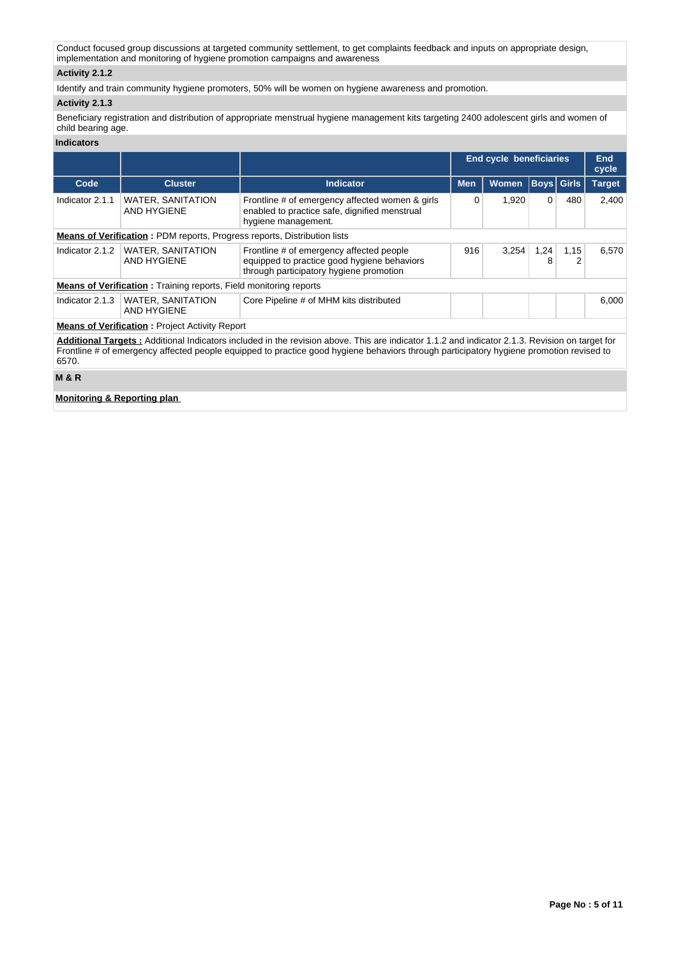Conduct focused group discussions at targeted community settlement, to get complaints feedback and inputs on appropriate design, implementation and monitoring of hygiene promotion campaigns and awareness

## **Activity 2.1.2**

Identify and train community hygiene promoters, 50% will be women on hygiene awareness and promotion.

## **Activity 2.1.3**

Beneficiary registration and distribution of appropriate menstrual hygiene management kits targeting 2400 adolescent girls and women of child bearing age.

## **Indicators**

|                 |                                                                                 |                                                                                                                                                                                                                                                                                           | End cycle beneficiaries |       |             |                   | End<br>cycle  |
|-----------------|---------------------------------------------------------------------------------|-------------------------------------------------------------------------------------------------------------------------------------------------------------------------------------------------------------------------------------------------------------------------------------------|-------------------------|-------|-------------|-------------------|---------------|
| Code            | <b>Cluster</b>                                                                  | <b>Indicator</b>                                                                                                                                                                                                                                                                          | <b>Men</b>              | Women |             | <b>Boys</b> Girls | <b>Target</b> |
| Indicator 2.1.1 | <b>WATER, SANITATION</b><br>AND HYGIENE                                         | Frontline # of emergency affected women & girls<br>enabled to practice safe, dignified menstrual<br>hygiene management.                                                                                                                                                                   | 0                       | 1,920 | $\mathbf 0$ | 480               | 2,400         |
|                 | <b>Means of Verification:</b> PDM reports, Progress reports, Distribution lists |                                                                                                                                                                                                                                                                                           |                         |       |             |                   |               |
| Indicator 2.1.2 | <b>WATER, SANITATION</b><br>AND HYGIENE                                         | Frontline # of emergency affected people<br>equipped to practice good hygiene behaviors<br>through participatory hygiene promotion                                                                                                                                                        |                         | 3.254 | 1,24<br>8   | 1,15<br>2         | 6.570         |
|                 | <b>Means of Verification:</b> Training reports, Field monitoring reports        |                                                                                                                                                                                                                                                                                           |                         |       |             |                   |               |
| Indicator 2.1.3 | <b>WATER, SANITATION</b><br>AND HYGIENE                                         | Core Pipeline # of MHM kits distributed                                                                                                                                                                                                                                                   |                         |       |             |                   | 6,000         |
|                 | <b>Means of Verification: Project Activity Report</b>                           |                                                                                                                                                                                                                                                                                           |                         |       |             |                   |               |
| 6570.           |                                                                                 | Additional Targets: Additional Indicators included in the revision above. This are indicator 1.1.2 and indicator 2.1.3. Revision on target for<br>Frontline # of emergency affected people equipped to practice good hygiene behaviors through participatory hygiene promotion revised to |                         |       |             |                   |               |
| <b>M&amp;R</b>  |                                                                                 |                                                                                                                                                                                                                                                                                           |                         |       |             |                   |               |

**Monitoring & Reporting plan**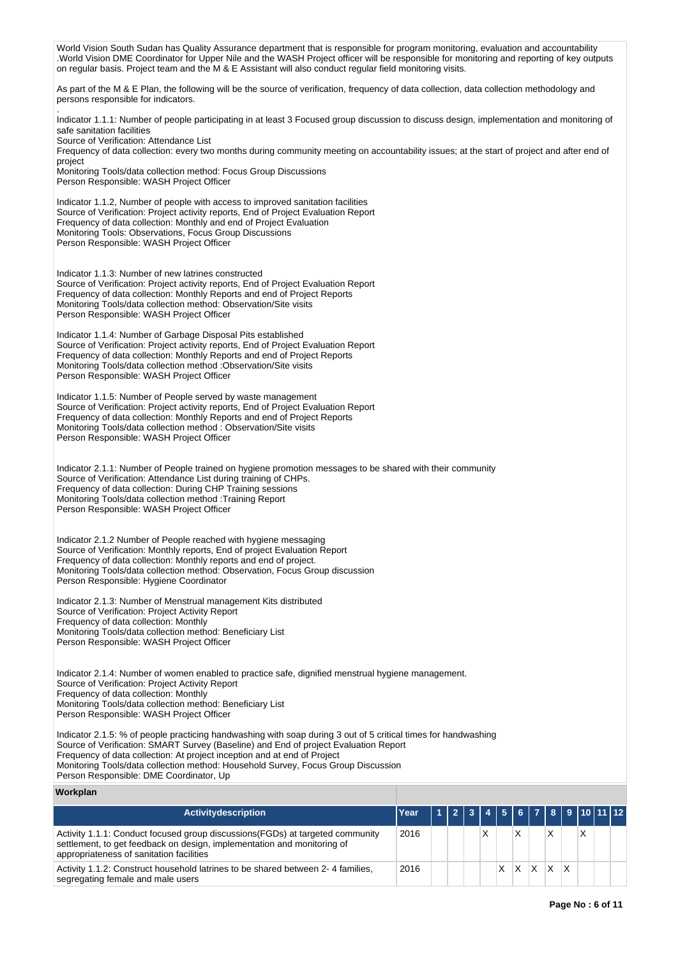**Workplan Activitydescription Year 1 2 3 4 5 6 7 8 9 10 11 12** Activity 1.1.1: Conduct focused group discussions(FGDs) at targeted community settlement, to get feedback on design, implementation and monitoring of appropriateness of sanitation facilities 2016 X X X X World Vision South Sudan has Quality Assurance department that is responsible for program monitoring, evaluation and accountability .World Vision DME Coordinator for Upper Nile and the WASH Project officer will be responsible for monitoring and reporting of key outputs on regular basis. Project team and the M & E Assistant will also conduct regular field monitoring visits. As part of the M & E Plan, the following will be the source of verification, frequency of data collection, data collection methodology and persons responsible for indicators. . Indicator 1.1.1: Number of people participating in at least 3 Focused group discussion to discuss design, implementation and monitoring of safe sanitation facilities Source of Verification: Attendance List Frequency of data collection: every two months during community meeting on accountability issues; at the start of project and after end of project Monitoring Tools/data collection method: Focus Group Discussions Person Responsible: WASH Project Officer Indicator 1.1.2, Number of people with access to improved sanitation facilities Source of Verification: Project activity reports, End of Project Evaluation Report Frequency of data collection: Monthly and end of Project Evaluation Monitoring Tools: Observations, Focus Group Discussions Person Responsible: WASH Project Officer Indicator 1.1.3: Number of new latrines constructed Source of Verification: Project activity reports, End of Project Evaluation Report Frequency of data collection: Monthly Reports and end of Project Reports Monitoring Tools/data collection method: Observation/Site visits Person Responsible: WASH Project Officer Indicator 1.1.4: Number of Garbage Disposal Pits established Source of Verification: Project activity reports, End of Project Evaluation Report Frequency of data collection: Monthly Reports and end of Project Reports Monitoring Tools/data collection method :Observation/Site visits Person Responsible: WASH Project Officer Indicator 1.1.5: Number of People served by waste management Source of Verification: Project activity reports, End of Project Evaluation Report Frequency of data collection: Monthly Reports and end of Project Reports Monitoring Tools/data collection method : Observation/Site visits Person Responsible: WASH Project Officer Indicator 2.1.1: Number of People trained on hygiene promotion messages to be shared with their community Source of Verification: Attendance List during training of CHPs. Frequency of data collection: During CHP Training sessions Monitoring Tools/data collection method :Training Report Person Responsible: WASH Project Officer Indicator 2.1.2 Number of People reached with hygiene messaging Source of Verification: Monthly reports, End of project Evaluation Report Frequency of data collection: Monthly reports and end of project. Monitoring Tools/data collection method: Observation, Focus Group discussion Person Responsible: Hygiene Coordinator Indicator 2.1.3: Number of Menstrual management Kits distributed Source of Verification: Project Activity Report Frequency of data collection: Monthly Monitoring Tools/data collection method: Beneficiary List Person Responsible: WASH Project Officer Indicator 2.1.4: Number of women enabled to practice safe, dignified menstrual hygiene management. Source of Verification: Project Activity Report Frequency of data collection: Monthly Monitoring Tools/data collection method: Beneficiary List Person Responsible: WASH Project Officer Indicator 2.1.5: % of people practicing handwashing with soap during 3 out of 5 critical times for handwashing Source of Verification: SMART Survey (Baseline) and End of project Evaluation Report Frequency of data collection: At project inception and at end of Project Monitoring Tools/data collection method: Household Survey, Focus Group Discussion Person Responsible: DME Coordinator, Up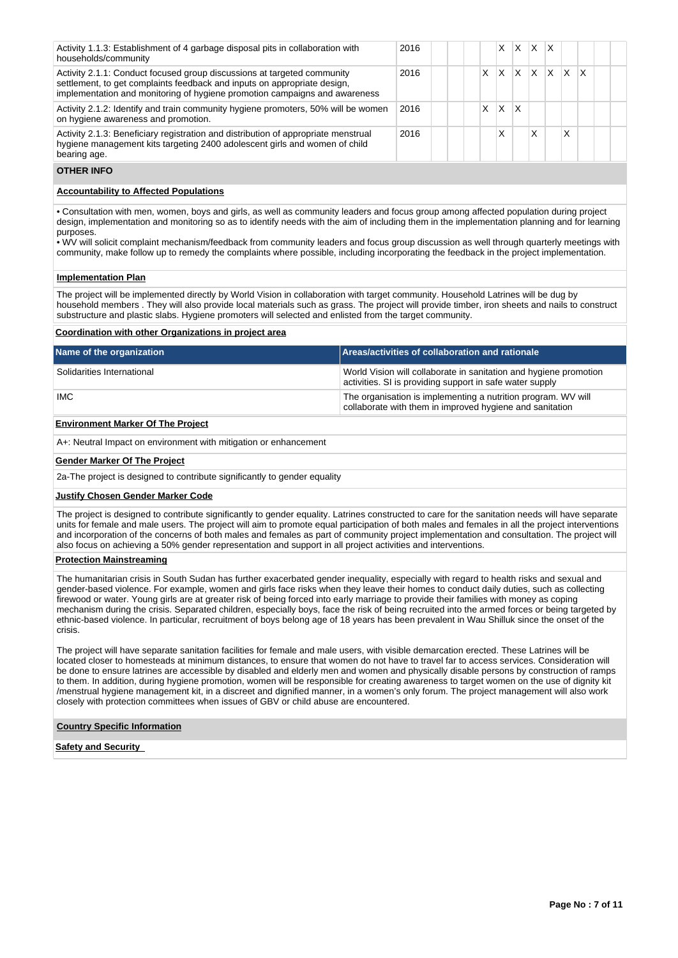| Activity 1.1.3: Establishment of 4 garbage disposal pits in collaboration with<br>households/community                                                                                                                            | 2016 |   | x |   | $X$ $X$ $X$ |    |              |   |  |
|-----------------------------------------------------------------------------------------------------------------------------------------------------------------------------------------------------------------------------------|------|---|---|---|-------------|----|--------------|---|--|
| Activity 2.1.1: Conduct focused group discussions at targeted community<br>settlement, to get complaints feedback and inputs on appropriate design,<br>implementation and monitoring of hygiene promotion campaigns and awareness | 2016 | x | х | x | X.          | X. | $\mathsf{X}$ | x |  |
| Activity 2.1.2: Identify and train community hygiene promoters, 50% will be women<br>on hygiene awareness and promotion.                                                                                                          | 2016 | x | X | X |             |    |              |   |  |
| Activity 2.1.3: Beneficiary registration and distribution of appropriate menstrual<br>hygiene management kits targeting 2400 adolescent girls and women of child<br>bearing age.                                                  | 2016 |   | Χ |   | x           |    | X            |   |  |

## **OTHER INFO**

## **Accountability to Affected Populations**

• Consultation with men, women, boys and girls, as well as community leaders and focus group among affected population during project design, implementation and monitoring so as to identify needs with the aim of including them in the implementation planning and for learning purposes.

• WV will solicit complaint mechanism/feedback from community leaders and focus group discussion as well through quarterly meetings with community, make follow up to remedy the complaints where possible, including incorporating the feedback in the project implementation.

#### **Implementation Plan**

The project will be implemented directly by World Vision in collaboration with target community. Household Latrines will be dug by household members . They will also provide local materials such as grass. The project will provide timber, iron sheets and nails to construct substructure and plastic slabs. Hygiene promoters will selected and enlisted from the target community.

### **Coordination with other Organizations in project area**

| Name of the organization                 | Areas/activities of collaboration and rationale                                                                               |
|------------------------------------------|-------------------------------------------------------------------------------------------------------------------------------|
| Solidarities International               | World Vision will collaborate in sanitation and hygiene promotion<br>activities. SI is providing support in safe water supply |
| IMC.                                     | The organisation is implementing a nutrition program. WV will<br>collaborate with them in improved hygiene and sanitation     |
| <b>Environment Marker Of The Project</b> |                                                                                                                               |

A+: Neutral Impact on environment with mitigation or enhancement

#### **Gender Marker Of The Project**

2a-The project is designed to contribute significantly to gender equality

#### **Justify Chosen Gender Marker Code**

The project is designed to contribute significantly to gender equality. Latrines constructed to care for the sanitation needs will have separate units for female and male users. The project will aim to promote equal participation of both males and females in all the project interventions and incorporation of the concerns of both males and females as part of community project implementation and consultation. The project will also focus on achieving a 50% gender representation and support in all project activities and interventions.

#### **Protection Mainstreaming**

The humanitarian crisis in South Sudan has further exacerbated gender inequality, especially with regard to health risks and sexual and gender-based violence. For example, women and girls face risks when they leave their homes to conduct daily duties, such as collecting firewood or water. Young girls are at greater risk of being forced into early marriage to provide their families with money as coping mechanism during the crisis. Separated children, especially boys, face the risk of being recruited into the armed forces or being targeted by ethnic-based violence. In particular, recruitment of boys belong age of 18 years has been prevalent in Wau Shilluk since the onset of the crisis.

The project will have separate sanitation facilities for female and male users, with visible demarcation erected. These Latrines will be located closer to homesteads at minimum distances, to ensure that women do not have to travel far to access services. Consideration will be done to ensure latrines are accessible by disabled and elderly men and women and physically disable persons by construction of ramps to them. In addition, during hygiene promotion, women will be responsible for creating awareness to target women on the use of dignity kit /menstrual hygiene management kit, in a discreet and dignified manner, in a women's only forum. The project management will also work closely with protection committees when issues of GBV or child abuse are encountered.

## **Country Specific Information**

**Safety and Security**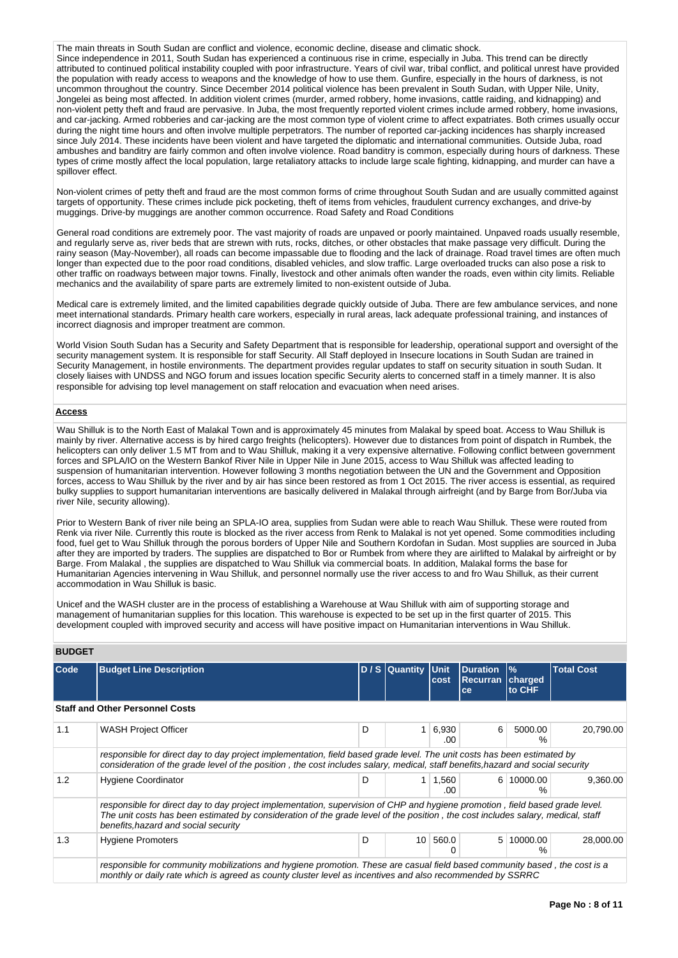The main threats in South Sudan are conflict and violence, economic decline, disease and climatic shock. Since independence in 2011, South Sudan has experienced a continuous rise in crime, especially in Juba. This trend can be directly attributed to continued political instability coupled with poor infrastructure. Years of civil war, tribal conflict, and political unrest have provided the population with ready access to weapons and the knowledge of how to use them. Gunfire, especially in the hours of darkness, is not uncommon throughout the country. Since December 2014 political violence has been prevalent in South Sudan, with Upper Nile, Unity, Jongelei as being most affected. In addition violent crimes (murder, armed robbery, home invasions, cattle raiding, and kidnapping) and non-violent petty theft and fraud are pervasive. In Juba, the most frequently reported violent crimes include armed robbery, home invasions, and car-jacking. Armed robberies and car-jacking are the most common type of violent crime to affect expatriates. Both crimes usually occur during the night time hours and often involve multiple perpetrators. The number of reported car-jacking incidences has sharply increased since July 2014. These incidents have been violent and have targeted the diplomatic and international communities. Outside Juba, road ambushes and banditry are fairly common and often involve violence. Road banditry is common, especially during hours of darkness. These types of crime mostly affect the local population, large retaliatory attacks to include large scale fighting, kidnapping, and murder can have a spillover effect.

Non-violent crimes of petty theft and fraud are the most common forms of crime throughout South Sudan and are usually committed against targets of opportunity. These crimes include pick pocketing, theft of items from vehicles, fraudulent currency exchanges, and drive-by muggings. Drive-by muggings are another common occurrence. Road Safety and Road Conditions

General road conditions are extremely poor. The vast majority of roads are unpaved or poorly maintained. Unpaved roads usually resemble, and regularly serve as, river beds that are strewn with ruts, rocks, ditches, or other obstacles that make passage very difficult. During the rainy season (May-November), all roads can become impassable due to flooding and the lack of drainage. Road travel times are often much longer than expected due to the poor road conditions, disabled vehicles, and slow traffic. Large overloaded trucks can also pose a risk to other traffic on roadways between major towns. Finally, livestock and other animals often wander the roads, even within city limits. Reliable mechanics and the availability of spare parts are extremely limited to non-existent outside of Juba.

Medical care is extremely limited, and the limited capabilities degrade quickly outside of Juba. There are few ambulance services, and none meet international standards. Primary health care workers, especially in rural areas, lack adequate professional training, and instances of incorrect diagnosis and improper treatment are common.

World Vision South Sudan has a Security and Safety Department that is responsible for leadership, operational support and oversight of the security management system. It is responsible for staff Security. All Staff deployed in Insecure locations in South Sudan are trained in Security Management, in hostile environments. The department provides regular updates to staff on security situation in south Sudan. It closely liaises with UNDSS and NGO forum and issues location specific Security alerts to concerned staff in a timely manner. It is also responsible for advising top level management on staff relocation and evacuation when need arises.

## **Access**

Wau Shilluk is to the North East of Malakal Town and is approximately 45 minutes from Malakal by speed boat. Access to Wau Shilluk is mainly by river. Alternative access is by hired cargo freights (helicopters). However due to distances from point of dispatch in Rumbek, the helicopters can only deliver 1.5 MT from and to Wau Shilluk, making it a very expensive alternative. Following conflict between government forces and SPLA/IO on the Western Bankof River Nile in Upper Nile in June 2015, access to Wau Shilluk was affected leading to suspension of humanitarian intervention. However following 3 months negotiation between the UN and the Government and Opposition forces, access to Wau Shilluk by the river and by air has since been restored as from 1 Oct 2015. The river access is essential, as required bulky supplies to support humanitarian interventions are basically delivered in Malakal through airfreight (and by Barge from Bor/Juba via river Nile, security allowing).

Prior to Western Bank of river nile being an SPLA-IO area, supplies from Sudan were able to reach Wau Shilluk. These were routed from Renk via river Nile. Currently this route is blocked as the river access from Renk to Malakal is not yet opened. Some commodities including food, fuel get to Wau Shilluk through the porous borders of Upper Nile and Southern Kordofan in Sudan. Most supplies are sourced in Juba after they are imported by traders. The supplies are dispatched to Bor or Rumbek from where they are airlifted to Malakal by airfreight or by Barge. From Malakal , the supplies are dispatched to Wau Shilluk via commercial boats. In addition, Malakal forms the base for Humanitarian Agencies intervening in Wau Shilluk, and personnel normally use the river access to and fro Wau Shilluk, as their current accommodation in Wau Shilluk is basic.

Unicef and the WASH cluster are in the process of establishing a Warehouse at Wau Shilluk with aim of supporting storage and management of humanitarian supplies for this location. This warehouse is expected to be set up in the first quarter of 2015. This development coupled with improved security and access will have positive impact on Humanitarian interventions in Wau Shilluk.

| <b>BUDGET</b> |                                                                                                                                                                                                                                                                                                         |   |                 |                     |                                          |                                    |                   |
|---------------|---------------------------------------------------------------------------------------------------------------------------------------------------------------------------------------------------------------------------------------------------------------------------------------------------------|---|-----------------|---------------------|------------------------------------------|------------------------------------|-------------------|
| <b>Code</b>   | <b>Budget Line Description</b>                                                                                                                                                                                                                                                                          |   | D / S Quantity  | <b>Unit</b><br>cost | <b>Duration</b><br><b>Recurran</b><br>ce | $\frac{9}{6}$<br>charged<br>to CHF | <b>Total Cost</b> |
|               | <b>Staff and Other Personnel Costs</b>                                                                                                                                                                                                                                                                  |   |                 |                     |                                          |                                    |                   |
| 1.1           | <b>WASH Project Officer</b>                                                                                                                                                                                                                                                                             | D |                 | 6,930<br>.00        | 6                                        | 5000.00<br>%                       | 20.790.00         |
|               | responsible for direct day to day project implementation, field based grade level. The unit costs has been estimated by<br>consideration of the grade level of the position, the cost includes salary, medical, staff benefits, hazard and social security                                              |   |                 |                     |                                          |                                    |                   |
| 1.2           | <b>Hygiene Coordinator</b>                                                                                                                                                                                                                                                                              | D |                 | 1,560<br>.00        |                                          | 6 10000.00<br>%                    | 9,360.00          |
|               | responsible for direct day to day project implementation, supervision of CHP and hygiene promotion, field based grade level.<br>The unit costs has been estimated by consideration of the grade level of the position, the cost includes salary, medical, staff<br>benefits, hazard and social security |   |                 |                     |                                          |                                    |                   |
| 1.3           | <b>Hygiene Promoters</b>                                                                                                                                                                                                                                                                                | D | 10 <sup>1</sup> | 560.0<br>0          | 5                                        | 10000.00<br>%                      | 28,000.00         |
|               | responsible for community mobilizations and hygiene promotion. These are casual field based community based, the cost is a<br>monthly or daily rate which is agreed as county cluster level as incentives and also recommended by SSRRC                                                                 |   |                 |                     |                                          |                                    |                   |

### **BUDGET**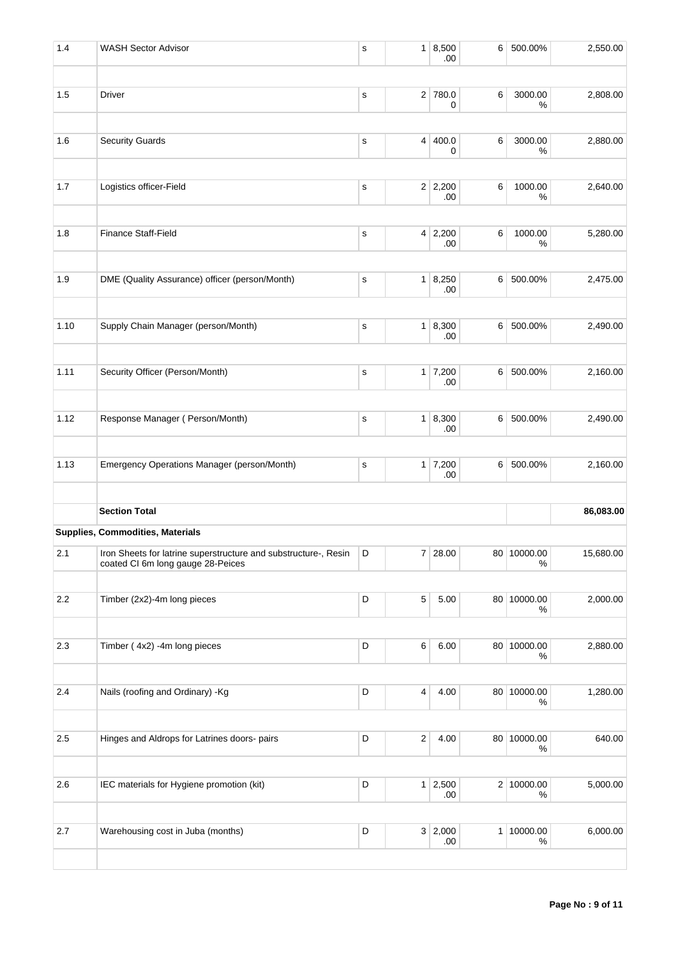| <b>WASH Sector Advisor</b>                                                                           | s                                            |   | .00  | 6                                                                                                                                                                                                      | 500.00%         | 2,550.00                                                                                                                             |
|------------------------------------------------------------------------------------------------------|----------------------------------------------|---|------|--------------------------------------------------------------------------------------------------------------------------------------------------------------------------------------------------------|-----------------|--------------------------------------------------------------------------------------------------------------------------------------|
| Driver                                                                                               | $\mathbf S$                                  |   |      | 6                                                                                                                                                                                                      | 3000.00         | 2,808.00                                                                                                                             |
|                                                                                                      |                                              |   |      |                                                                                                                                                                                                        |                 |                                                                                                                                      |
| <b>Security Guards</b>                                                                               | $\mathbf s$                                  |   | 0    | 6                                                                                                                                                                                                      | 3000.00<br>%    | 2,880.00                                                                                                                             |
| Logistics officer-Field                                                                              | s                                            |   | .00  | 6                                                                                                                                                                                                      | 1000.00<br>%    | 2,640.00                                                                                                                             |
| <b>Finance Staff-Field</b>                                                                           | s                                            |   |      | 6                                                                                                                                                                                                      | 1000.00<br>$\%$ | 5,280.00                                                                                                                             |
| DME (Quality Assurance) officer (person/Month)                                                       | s                                            |   |      | 6                                                                                                                                                                                                      | 500.00%         | 2,475.00                                                                                                                             |
|                                                                                                      |                                              |   |      |                                                                                                                                                                                                        |                 |                                                                                                                                      |
| Supply Chain Manager (person/Month)                                                                  | s                                            |   | .00  |                                                                                                                                                                                                        | 500.00%         | 2,490.00                                                                                                                             |
| Security Officer (Person/Month)                                                                      | s                                            |   | .00  |                                                                                                                                                                                                        | 500.00%         | 2,160.00                                                                                                                             |
| Response Manager (Person/Month)                                                                      | s                                            |   |      | 6                                                                                                                                                                                                      | 500.00%         | 2,490.00                                                                                                                             |
|                                                                                                      |                                              |   |      |                                                                                                                                                                                                        |                 |                                                                                                                                      |
| Emergency Operations Manager (person/Month)                                                          | s                                            |   | .00  |                                                                                                                                                                                                        | 500.00%         | 2,160.00                                                                                                                             |
| <b>Section Total</b>                                                                                 |                                              |   |      |                                                                                                                                                                                                        |                 | 86,083.00                                                                                                                            |
| Supplies, Commodities, Materials                                                                     |                                              |   |      |                                                                                                                                                                                                        |                 |                                                                                                                                      |
| Iron Sheets for latrine superstructure and substructure-, Resin<br>coated CI 6m long gauge 28-Peices | D                                            |   |      |                                                                                                                                                                                                        | %               | 15,680.00                                                                                                                            |
| Timber (2x2)-4m long pieces                                                                          | D                                            | 5 | 5.00 |                                                                                                                                                                                                        | %               | 2,000.00                                                                                                                             |
| Timber (4x2) -4m long pieces                                                                         | D                                            | 6 | 6.00 |                                                                                                                                                                                                        | %               | 2,880.00                                                                                                                             |
| Nails (roofing and Ordinary) - Kg                                                                    | D                                            | 4 | 4.00 |                                                                                                                                                                                                        | %               | 1,280.00                                                                                                                             |
|                                                                                                      |                                              |   |      |                                                                                                                                                                                                        |                 |                                                                                                                                      |
|                                                                                                      |                                              |   |      |                                                                                                                                                                                                        | ℅               | 640.00                                                                                                                               |
| IEC materials for Hygiene promotion (kit)                                                            | D                                            |   | .00  |                                                                                                                                                                                                        | $\%$            | 5,000.00                                                                                                                             |
| Warehousing cost in Juba (months)                                                                    | D                                            |   |      |                                                                                                                                                                                                        |                 | 6,000.00                                                                                                                             |
|                                                                                                      | Hinges and Aldrops for Latrines doors- pairs | D | 2    | 1   8,500<br>2 780.0<br>0<br>4 400.0<br>$2 \mid 2,200$<br>4 2,200<br>.00<br>1   8,250<br>.00<br>1   8,300<br>$1 \mid 7,200$<br>1   8,300<br>.00<br>$1 \mid 7,200$<br>7 28.00<br>4.00<br>$1 \mid 2,500$ |                 | %<br>6<br>6 <br>6 <br>80 10000.00<br>80 10000.00<br>80 10000.00<br>80 10000.00<br>80 10000.00<br>2 10000.00<br>3 2,000<br>1 10000.00 |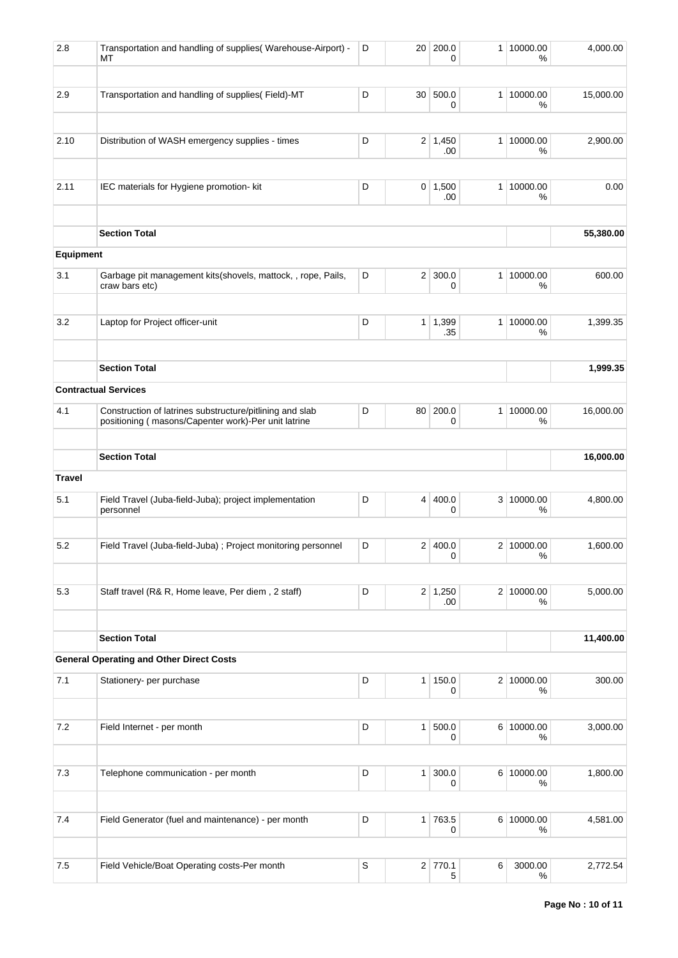| 2.8           | Transportation and handling of supplies( Warehouse-Airport) -<br>МT                                             | D           | 20             | 200.0<br>0            | 1 <sup>1</sup> | 10000.00<br>%      | 4,000.00  |
|---------------|-----------------------------------------------------------------------------------------------------------------|-------------|----------------|-----------------------|----------------|--------------------|-----------|
| 2.9           | Transportation and handling of supplies(Field)-MT                                                               | D           | 30             | 500.0<br>0            |                | 1 10000.00<br>%    | 15,000.00 |
| 2.10          | Distribution of WASH emergency supplies - times                                                                 | D           |                | $2 \mid 1,450$        |                | 1 10000.00         | 2,900.00  |
|               |                                                                                                                 |             |                | .00                   |                | $\%$               |           |
| 2.11          | IEC materials for Hygiene promotion- kit                                                                        | D           |                | $0 \mid 1,500$<br>.00 |                | 1 10000.00<br>%    | 0.00      |
|               | <b>Section Total</b>                                                                                            |             |                |                       |                |                    | 55,380.00 |
| Equipment     |                                                                                                                 |             |                |                       |                |                    |           |
| 3.1           | Garbage pit management kits(shovels, mattock, , rope, Pails,<br>craw bars etc)                                  | D           | 2 <sup>2</sup> | 300.0<br>0            |                | 1 10000.00<br>%    | 600.00    |
| 3.2           | Laptop for Project officer-unit                                                                                 | D           | 1 <sup>1</sup> | 1,399<br>.35          |                | 1 10000.00<br>%    | 1,399.35  |
|               | <b>Section Total</b>                                                                                            |             |                |                       |                |                    | 1,999.35  |
|               | <b>Contractual Services</b>                                                                                     |             |                |                       |                |                    |           |
| 4.1           | Construction of latrines substructure/pitlining and slab<br>positioning (masons/Capenter work)-Per unit latrine | D           | 80             | 200.0<br>0            |                | 1 10000.00<br>%    | 16,000.00 |
|               | <b>Section Total</b>                                                                                            |             |                |                       |                |                    | 16,000.00 |
| <b>Travel</b> |                                                                                                                 |             |                |                       |                |                    |           |
| 5.1           | Field Travel (Juba-field-Juba); project implementation<br>personnel                                             | D           | 4              | 400.0<br>0            |                | 3 10000.00<br>%    | 4,800.00  |
| 5.2           | Field Travel (Juba-field-Juba) ; Project monitoring personnel                                                   | D           | $\overline{2}$ | 400.0<br>0            |                | 2 10000.00<br>$\%$ | 1,600.00  |
| 5.3           | Staff travel (R& R, Home leave, Per diem, 2 staff)                                                              | D           |                | 2 1,250<br>.00.       |                | 2 10000.00<br>%    | 5,000.00  |
|               | <b>Section Total</b>                                                                                            |             |                |                       |                |                    | 11,400.00 |
|               | <b>General Operating and Other Direct Costs</b>                                                                 |             |                |                       |                |                    |           |
| 7.1           | Stationery- per purchase                                                                                        | D           |                | 1 150.0<br>0          |                | 2 10000.00<br>%    | 300.00    |
| 7.2           | Field Internet - per month                                                                                      | D           | 1 <sup>1</sup> | 500.0                 |                | 6 10000.00         | 3,000.00  |
|               |                                                                                                                 |             |                | 0                     |                | %                  |           |
| 7.3           | Telephone communication - per month                                                                             | D           | 1 <sup>1</sup> | 300.0<br>0            |                | 6 10000.00<br>$\%$ | 1,800.00  |
| $7.4$         | Field Generator (fuel and maintenance) - per month                                                              | D           |                | $1 \mid 763.5$<br>0   |                | 6 10000.00<br>%    | 4,581.00  |
|               |                                                                                                                 |             |                |                       |                |                    |           |
| 7.5           | Field Vehicle/Boat Operating costs-Per month                                                                    | $\mathbb S$ |                | $2$ 770.1<br>5        | 6              | 3000.00<br>$\%$    | 2,772.54  |